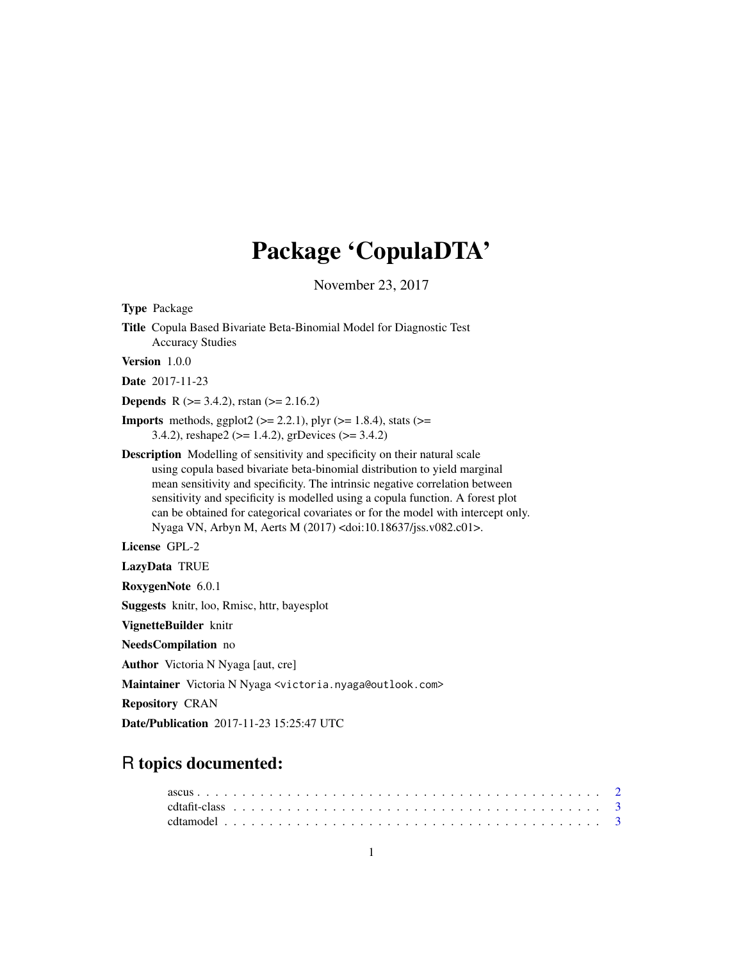# Package 'CopulaDTA'

November 23, 2017

<span id="page-0-0"></span>Type Package Title Copula Based Bivariate Beta-Binomial Model for Diagnostic Test Accuracy Studies Version 1.0.0 Date 2017-11-23 **Depends** R ( $>= 3.4.2$ ), rstan ( $>= 2.16.2$ ) **Imports** methods, ggplot2 ( $>= 2.2.1$ ), plyr ( $>= 1.8.4$ ), stats ( $>=$ 3.4.2), reshape2 (>= 1.4.2), grDevices (>= 3.4.2) Description Modelling of sensitivity and specificity on their natural scale using copula based bivariate beta-binomial distribution to yield marginal mean sensitivity and specificity. The intrinsic negative correlation between sensitivity and specificity is modelled using a copula function. A forest plot can be obtained for categorical covariates or for the model with intercept only. Nyaga VN, Arbyn M, Aerts M (2017) <doi:10.18637/jss.v082.c01>. License GPL-2 LazyData TRUE RoxygenNote 6.0.1 Suggests knitr, loo, Rmisc, httr, bayesplot VignetteBuilder knitr NeedsCompilation no Author Victoria N Nyaga [aut, cre] Maintainer Victoria N Nyaga <victoria.nyaga@outlook.com> Repository CRAN Date/Publication 2017-11-23 15:25:47 UTC

# R topics documented: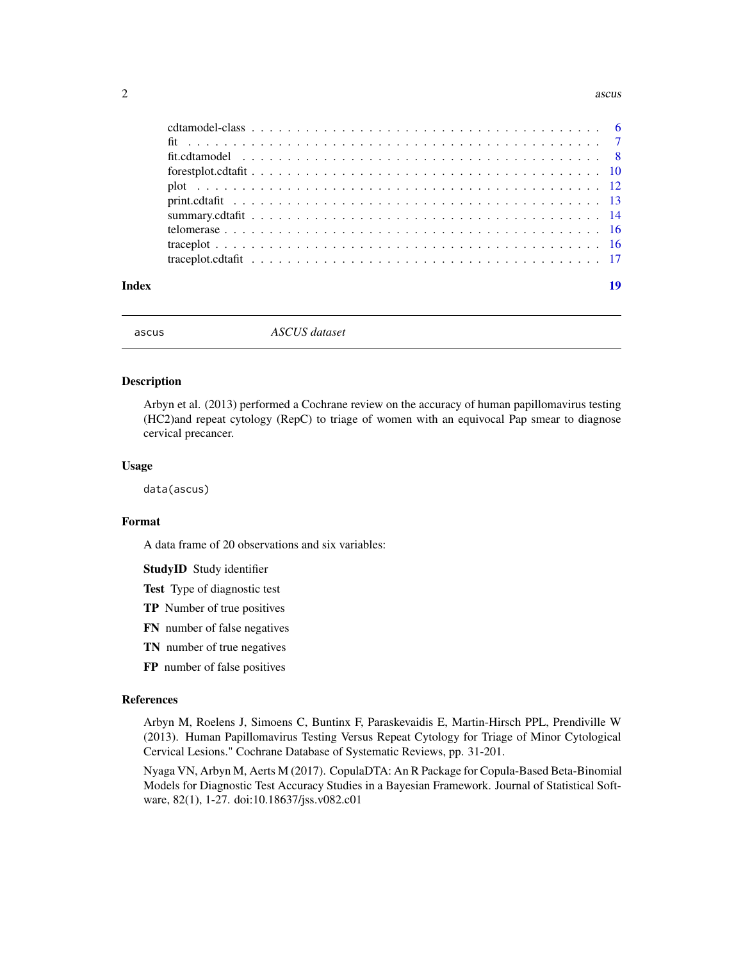#### <span id="page-1-0"></span> $2 \cos \theta$  ascuss and  $\theta$  as  $\cos \theta$  as  $\cos \theta$  as  $\cos \theta$

| Index | 19 |
|-------|----|

ascus *ASCUS dataset*

#### Description

Arbyn et al. (2013) performed a Cochrane review on the accuracy of human papillomavirus testing (HC2)and repeat cytology (RepC) to triage of women with an equivocal Pap smear to diagnose cervical precancer.

#### Usage

data(ascus)

# Format

A data frame of 20 observations and six variables:

StudyID Study identifier

Test Type of diagnostic test

- TP Number of true positives
- FN number of false negatives
- TN number of true negatives
- FP number of false positives

# References

Arbyn M, Roelens J, Simoens C, Buntinx F, Paraskevaidis E, Martin-Hirsch PPL, Prendiville W (2013). Human Papillomavirus Testing Versus Repeat Cytology for Triage of Minor Cytological Cervical Lesions." Cochrane Database of Systematic Reviews, pp. 31-201.

Nyaga VN, Arbyn M, Aerts M (2017). CopulaDTA: An R Package for Copula-Based Beta-Binomial Models for Diagnostic Test Accuracy Studies in a Bayesian Framework. Journal of Statistical Software, 82(1), 1-27. doi:10.18637/jss.v082.c01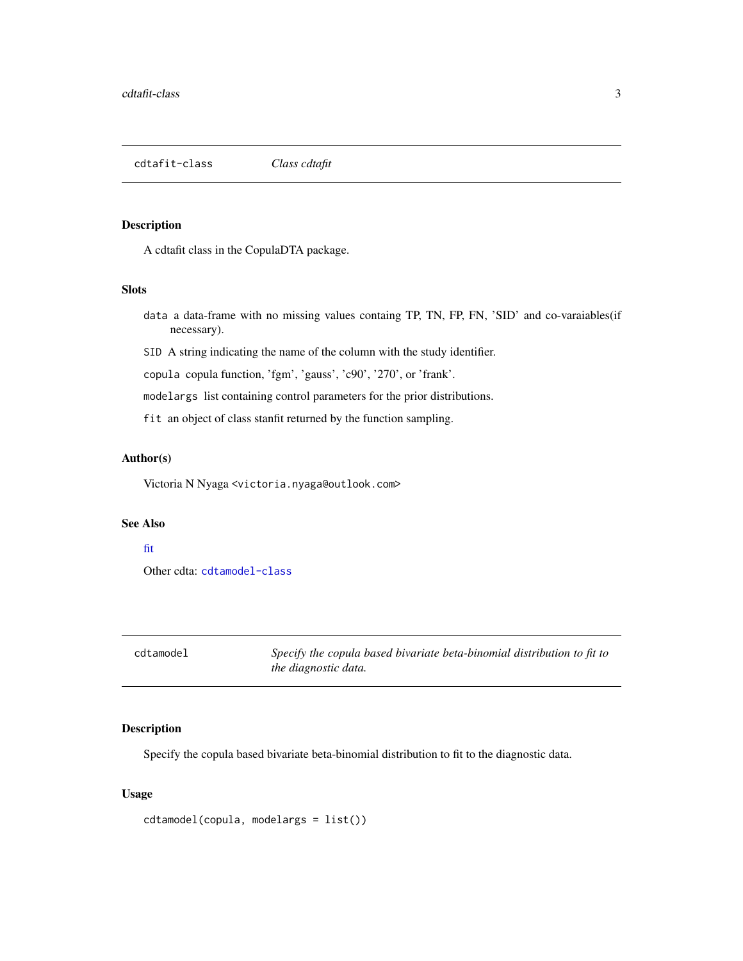<span id="page-2-2"></span><span id="page-2-0"></span>cdtafit-class *Class cdtafit*

#### Description

A cdtafit class in the CopulaDTA package.

#### **Slots**

- data a data-frame with no missing values containg TP, TN, FP, FN, 'SID' and co-varaiables(if necessary).
- SID A string indicating the name of the column with the study identifier.

copula copula function, 'fgm', 'gauss', 'c90', '270', or 'frank'.

modelargs list containing control parameters for the prior distributions.

fit an object of class stanfit returned by the function sampling.

## Author(s)

Victoria N Nyaga <victoria.nyaga@outlook.com>

#### See Also

#### [fit](#page-6-1)

Other cdta: [cdtamodel-class](#page-5-1)

<span id="page-2-1"></span>cdtamodel *Specify the copula based bivariate beta-binomial distribution to fit to the diagnostic data.*

# Description

Specify the copula based bivariate beta-binomial distribution to fit to the diagnostic data.

#### Usage

```
cdtamodel(copula, modelargs = list())
```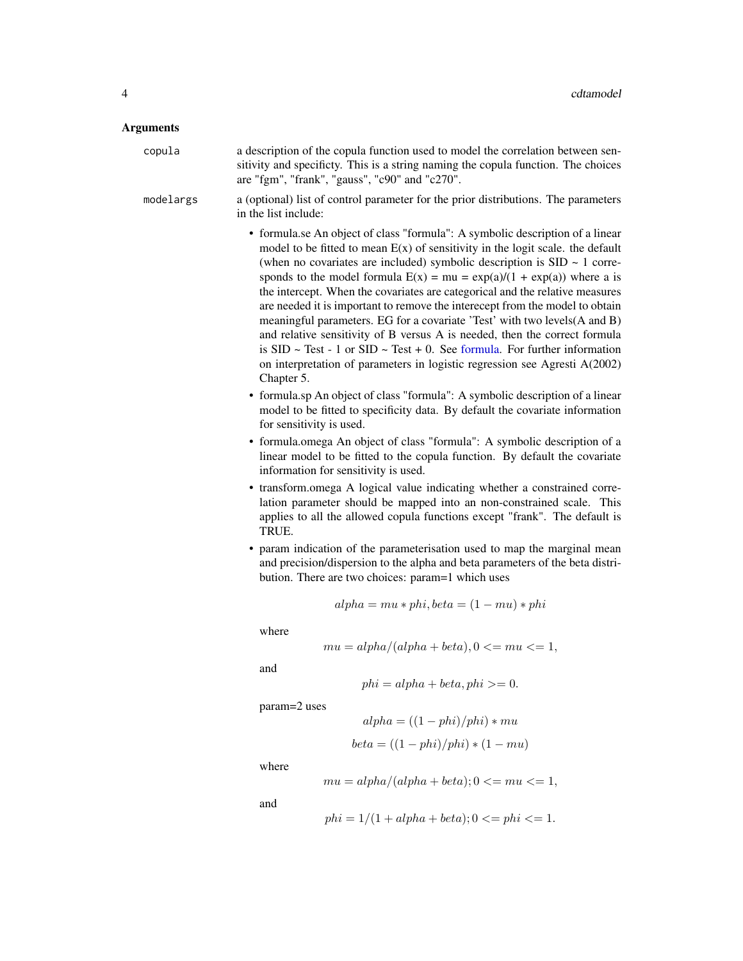#### <span id="page-3-0"></span>Arguments

| copula    | a description of the copula function used to model the correlation between sen-<br>sitivity and specificty. This is a string naming the copula function. The choices<br>are "fgm", "frank", "gauss", "c90" and "c270". |
|-----------|------------------------------------------------------------------------------------------------------------------------------------------------------------------------------------------------------------------------|
| modelargs | a (optional) list of control parameter for the prior distributions. The parameters<br>in the list include:                                                                                                             |

- formula.se An object of class "formula": A symbolic description of a linear model to be fitted to mean  $E(x)$  of sensitivity in the logit scale. the default (when no covariates are included) symbolic description is  $SID \sim 1$  corresponds to the model formula  $E(x) = mu = \exp(a)/(1 + \exp(a))$  where a is the intercept. When the covariates are categorical and the relative measures are needed it is important to remove the interecept from the model to obtain meaningful parameters. EG for a covariate 'Test' with two levels(A and B) and relative sensitivity of B versus A is needed, then the correct formula is  $SID \sim Test - 1$  or  $SID \sim Test + 0$ . See [formula.](#page-0-0) For further information on interpretation of parameters in logistic regression see Agresti A(2002) Chapter 5.
- formula.sp An object of class "formula": A symbolic description of a linear model to be fitted to specificity data. By default the covariate information for sensitivity is used.
- formula.omega An object of class "formula": A symbolic description of a linear model to be fitted to the copula function. By default the covariate information for sensitivity is used.
- transform.omega A logical value indicating whether a constrained correlation parameter should be mapped into an non-constrained scale. This applies to all the allowed copula functions except "frank". The default is TRUE.
- param indication of the parameterisation used to map the marginal mean and precision/dispersion to the alpha and beta parameters of the beta distribution. There are two choices: param=1 which uses

$$
alpha = mu * phi, beta = (1 - mu) * phi
$$

where

$$
mu = alpha/(alpha + beta), 0 \leq mu \leq 1,
$$

and

$$
phi = alpha + beta, phi >= 0.
$$

 $alpha = ((1 - phi)/phi) * mu$  $beta = ((1 - phi)/phi) * (1 - mu)$ 

param=2 uses

where

$$
mu = alpha/(alpha + beta); 0 \leq mu \leq 1,
$$

and

$$
phi = 1/(1 + alpha + beta); 0 \leq phi \leq 1.
$$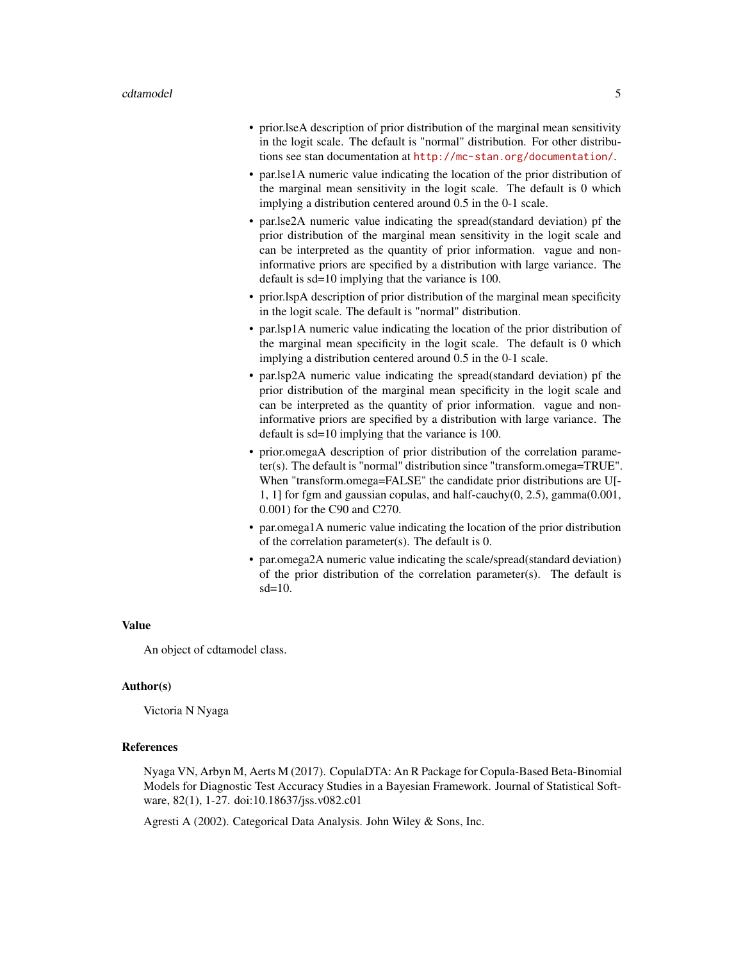- prior.lseA description of prior distribution of the marginal mean sensitivity in the logit scale. The default is "normal" distribution. For other distributions see stan documentation at <http://mc-stan.org/documentation/>.
- par.lse1A numeric value indicating the location of the prior distribution of the marginal mean sensitivity in the logit scale. The default is 0 which implying a distribution centered around 0.5 in the 0-1 scale.
- par.lse2A numeric value indicating the spread(standard deviation) pf the prior distribution of the marginal mean sensitivity in the logit scale and can be interpreted as the quantity of prior information. vague and noninformative priors are specified by a distribution with large variance. The default is sd=10 implying that the variance is 100.
- prior.lspA description of prior distribution of the marginal mean specificity in the logit scale. The default is "normal" distribution.
- par.lsp1A numeric value indicating the location of the prior distribution of the marginal mean specificity in the logit scale. The default is 0 which implying a distribution centered around 0.5 in the 0-1 scale.
- par.lsp2A numeric value indicating the spread(standard deviation) pf the prior distribution of the marginal mean specificity in the logit scale and can be interpreted as the quantity of prior information. vague and noninformative priors are specified by a distribution with large variance. The default is sd=10 implying that the variance is 100.
- prior.omegaA description of prior distribution of the correlation parameter(s). The default is "normal" distribution since "transform.omega=TRUE". When "transform.omega=FALSE" the candidate prior distributions are U[- 1, 1] for fgm and gaussian copulas, and half-cauchy(0, 2.5), gamma(0.001, 0.001) for the C90 and C270.
- par.omega1A numeric value indicating the location of the prior distribution of the correlation parameter(s). The default is 0.
- par.omega2A numeric value indicating the scale/spread(standard deviation) of the prior distribution of the correlation parameter(s). The default is sd=10.

#### Value

An object of cdtamodel class.

#### Author(s)

Victoria N Nyaga

# References

Nyaga VN, Arbyn M, Aerts M (2017). CopulaDTA: An R Package for Copula-Based Beta-Binomial Models for Diagnostic Test Accuracy Studies in a Bayesian Framework. Journal of Statistical Software, 82(1), 1-27. doi:10.18637/jss.v082.c01

Agresti A (2002). Categorical Data Analysis. John Wiley & Sons, Inc.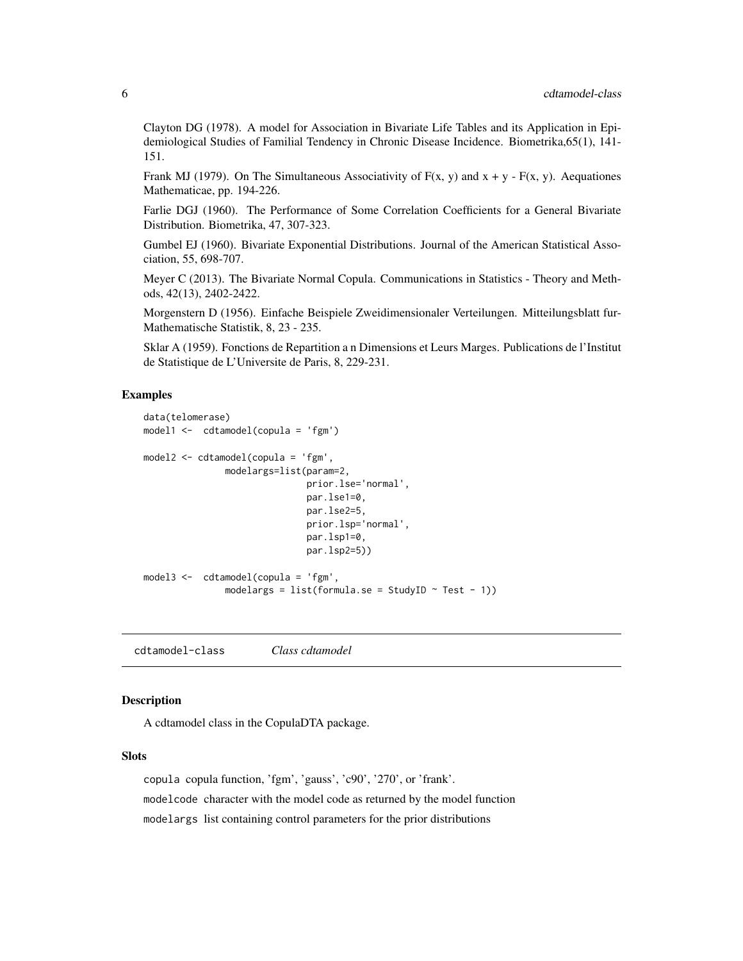<span id="page-5-0"></span>Clayton DG (1978). A model for Association in Bivariate Life Tables and its Application in Epidemiological Studies of Familial Tendency in Chronic Disease Incidence. Biometrika,65(1), 141- 151.

Frank MJ (1979). On The Simultaneous Associativity of  $F(x, y)$  and  $x + y - F(x, y)$ . Aequationes Mathematicae, pp. 194-226.

Farlie DGJ (1960). The Performance of Some Correlation Coefficients for a General Bivariate Distribution. Biometrika, 47, 307-323.

Gumbel EJ (1960). Bivariate Exponential Distributions. Journal of the American Statistical Association, 55, 698-707.

Meyer C (2013). The Bivariate Normal Copula. Communications in Statistics - Theory and Methods, 42(13), 2402-2422.

Morgenstern D (1956). Einfache Beispiele Zweidimensionaler Verteilungen. Mitteilungsblatt fur-Mathematische Statistik, 8, 23 - 235.

Sklar A (1959). Fonctions de Repartition a n Dimensions et Leurs Marges. Publications de l'Institut de Statistique de L'Universite de Paris, 8, 229-231.

#### Examples

```
data(telomerase)
model1 <- cdtamodel(copula = 'fgm')
model2 <- cdtamodel(copula = 'fgm',
               modelargs=list(param=2,
                              prior.lse='normal',
                              par.lse1=0,
                              par.lse2=5,
                              prior.lsp='normal',
                              par.lsp1=0,
                              par.lsp2=5))
model3 <- cdtamodel(copula = 'fgm',
               modelargs = list(formula.se = StudyID \sim Test - 1))
```
<span id="page-5-1"></span>cdtamodel-class *Class cdtamodel*

# Description

A cdtamodel class in the CopulaDTA package.

#### Slots

copula copula function, 'fgm', 'gauss', 'c90', '270', or 'frank'. modelcode character with the model code as returned by the model function modelargs list containing control parameters for the prior distributions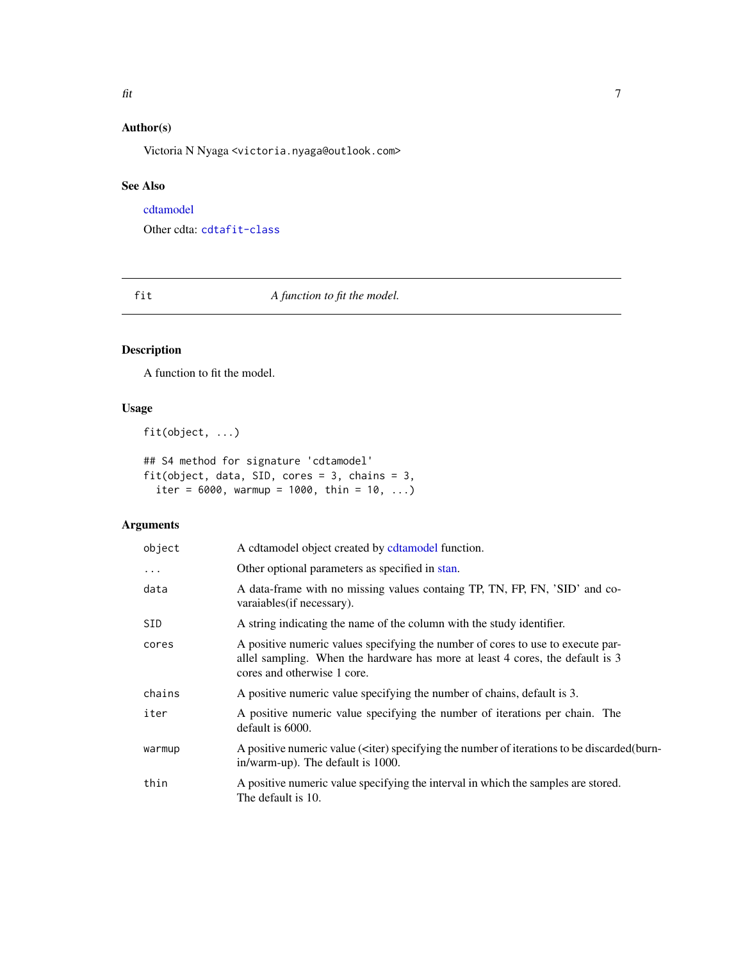# <span id="page-6-0"></span>Author(s)

Victoria N Nyaga <victoria.nyaga@outlook.com>

# See Also

[cdtamodel](#page-2-1)

Other cdta: [cdtafit-class](#page-2-2)

<span id="page-6-1"></span>fit *A function to fit the model.*

# Description

A function to fit the model.

# Usage

fit(object, ...)

## S4 method for signature 'cdtamodel' fit(object, data, SID, cores = 3, chains = 3, iter =  $6000$ , warmup =  $1000$ , thin =  $10$ , ...)

| object   | A cdtamodel object created by cdtamodel function.                                                                                                                                               |
|----------|-------------------------------------------------------------------------------------------------------------------------------------------------------------------------------------------------|
| $\cdots$ | Other optional parameters as specified in stan.                                                                                                                                                 |
| data     | A data-frame with no missing values containg TP, TN, FP, FN, 'SID' and co-<br>varaiables (if necessary).                                                                                        |
| SID.     | A string indicating the name of the column with the study identifier.                                                                                                                           |
| cores    | A positive numeric values specifying the number of cores to use to execute par-<br>allel sampling. When the hardware has more at least 4 cores, the default is 3<br>cores and otherwise 1 core. |
| chains   | A positive numeric value specifying the number of chains, default is 3.                                                                                                                         |
| iter     | A positive numeric value specifying the number of iterations per chain. The<br>default is 6000.                                                                                                 |
| warmup   | A positive numeric value ( <iter) (burn-<br="" be="" discarded="" iterations="" number="" of="" specifying="" the="" to="">in/warm-up). The default is 1000.</iter)>                            |
| thin     | A positive numeric value specifying the interval in which the samples are stored.<br>The default is 10.                                                                                         |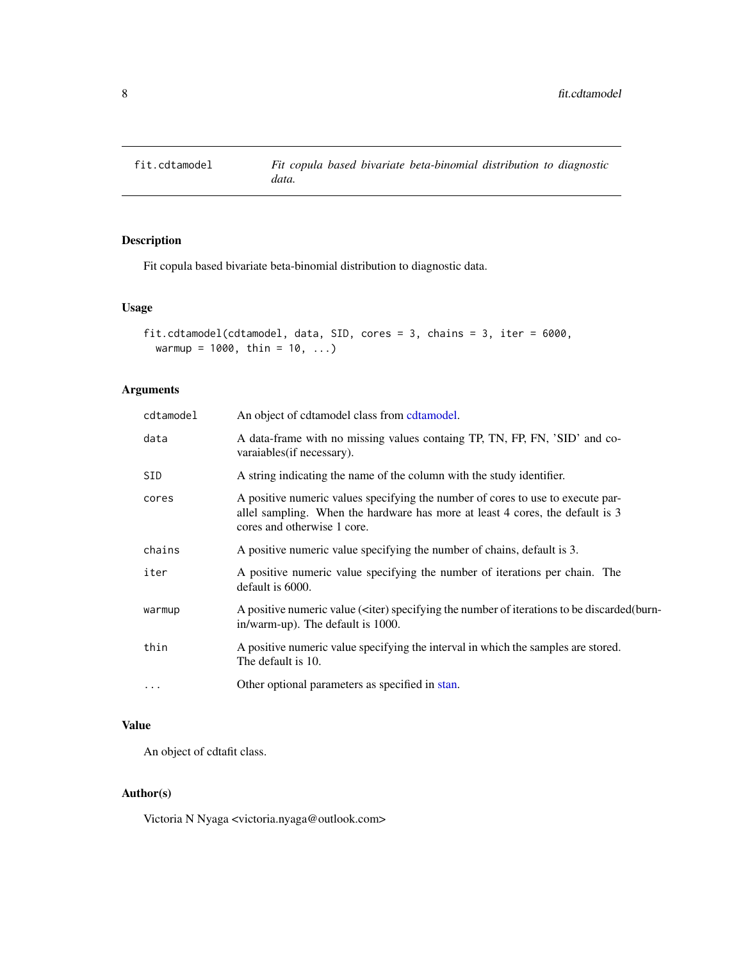<span id="page-7-0"></span>

# Description

Fit copula based bivariate beta-binomial distribution to diagnostic data.

# Usage

```
fit.cdtamodel(cdtamodel, data, SID, cores = 3, chains = 3, iter = 6000,
 warmup = 1000, thin = 10, ...)
```
# Arguments

| cdtamodel  | An object of cdtamodel class from cdtamodel.                                                                                                                                                    |
|------------|-------------------------------------------------------------------------------------------------------------------------------------------------------------------------------------------------|
| data       | A data-frame with no missing values containg TP, TN, FP, FN, 'SID' and co-<br>varaiables (if necessary).                                                                                        |
| <b>SID</b> | A string indicating the name of the column with the study identifier.                                                                                                                           |
| cores      | A positive numeric values specifying the number of cores to use to execute par-<br>allel sampling. When the hardware has more at least 4 cores, the default is 3<br>cores and otherwise 1 core. |
| chains     | A positive numeric value specifying the number of chains, default is 3.                                                                                                                         |
| iter       | A positive numeric value specifying the number of iterations per chain. The<br>default is 6000.                                                                                                 |
| warmup     | A positive numeric value ( <iter) (burn-<br="" be="" discarded="" iterations="" number="" of="" specifying="" the="" to="">in/warm-up). The default is 1000.</iter)>                            |
| thin       | A positive numeric value specifying the interval in which the samples are stored.<br>The default is 10.                                                                                         |
| $\cdots$   | Other optional parameters as specified in stan.                                                                                                                                                 |
|            |                                                                                                                                                                                                 |

# Value

An object of cdtafit class.

# Author(s)

Victoria N Nyaga <victoria.nyaga@outlook.com>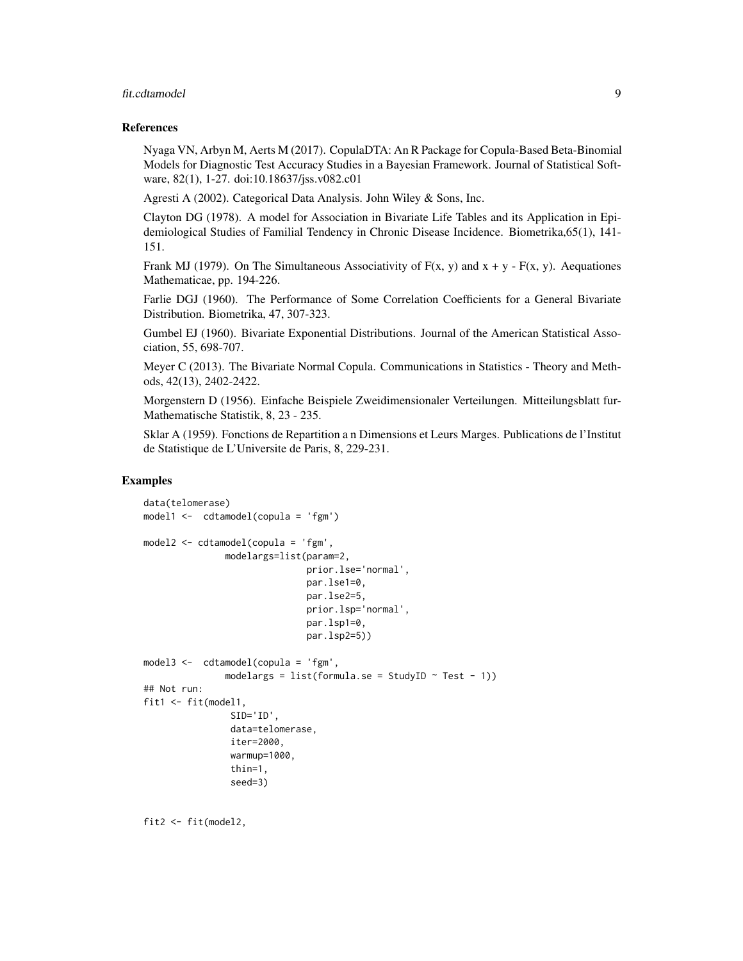#### fit.cdtamodel 9

#### References

Nyaga VN, Arbyn M, Aerts M (2017). CopulaDTA: An R Package for Copula-Based Beta-Binomial Models for Diagnostic Test Accuracy Studies in a Bayesian Framework. Journal of Statistical Software, 82(1), 1-27. doi:10.18637/jss.v082.c01

Agresti A (2002). Categorical Data Analysis. John Wiley & Sons, Inc.

Clayton DG (1978). A model for Association in Bivariate Life Tables and its Application in Epidemiological Studies of Familial Tendency in Chronic Disease Incidence. Biometrika,65(1), 141- 151.

Frank MJ (1979). On The Simultaneous Associativity of  $F(x, y)$  and  $x + y - F(x, y)$ . Aequationes Mathematicae, pp. 194-226.

Farlie DGJ (1960). The Performance of Some Correlation Coefficients for a General Bivariate Distribution. Biometrika, 47, 307-323.

Gumbel EJ (1960). Bivariate Exponential Distributions. Journal of the American Statistical Association, 55, 698-707.

Meyer C (2013). The Bivariate Normal Copula. Communications in Statistics - Theory and Methods, 42(13), 2402-2422.

Morgenstern D (1956). Einfache Beispiele Zweidimensionaler Verteilungen. Mitteilungsblatt fur-Mathematische Statistik, 8, 23 - 235.

Sklar A (1959). Fonctions de Repartition a n Dimensions et Leurs Marges. Publications de l'Institut de Statistique de L'Universite de Paris, 8, 229-231.

## Examples

```
data(telomerase)
model1 <- cdtamodel(copula = 'fgm')
model2 <- cdtamodel(copula = 'fgm',
               modelargs=list(param=2,
                              prior.lse='normal',
                              par.lse1=0,
                              par.lse2=5,
                              prior.lsp='normal',
                              par.lsp1=0,
                              par.lsp2=5))
model3 <- cdtamodel(copula = 'fgm',
               modelargs = list(formula.se = StudyID \sim Test - 1))
## Not run:
fit1 <- fit(model1,
                SID='ID',
                data=telomerase,
                iter=2000,
                warmup=1000,
                thin=1,
                seed=3)
```
fit2 <- fit(model2,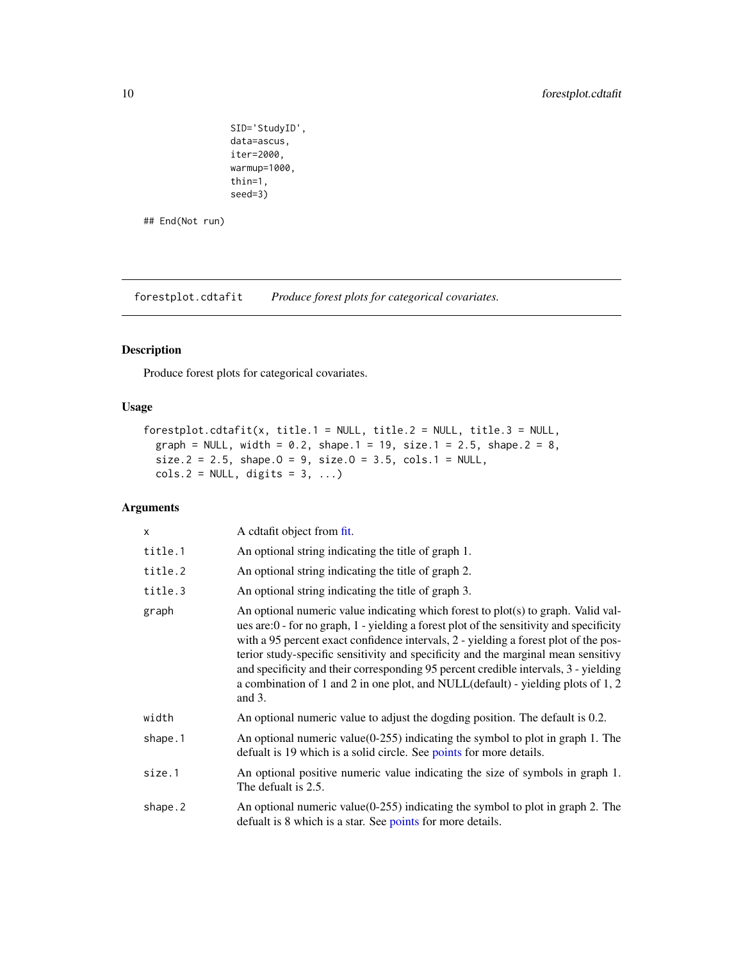```
SID='StudyID',
data=ascus,
iter=2000,
warmup=1000,
thin=1,
seed=3)
```
## End(Not run)

forestplot.cdtafit *Produce forest plots for categorical covariates.*

# Description

Produce forest plots for categorical covariates.

# Usage

```
forestplot.cdtafit(x, title.1 = NULL, title.2 = NULL, title.3 = NULL,
  graph = NULL, width = 0.2, shape.1 = 19, size.1 = 2.5, shape.2 = 8,
  size.2 = 2.5, shape.0 = 9, size.0 = 3.5, cols.1 = NULL,
  \text{cols}.2 = \text{NULL}, \text{ digits} = 3, \ldots)
```

| $\mathsf{x}$ | A cdtafit object from fit.                                                                                                                                                                                                                                                                                                                                                                                                                                                                                                                               |
|--------------|----------------------------------------------------------------------------------------------------------------------------------------------------------------------------------------------------------------------------------------------------------------------------------------------------------------------------------------------------------------------------------------------------------------------------------------------------------------------------------------------------------------------------------------------------------|
| title.1      | An optional string indicating the title of graph 1.                                                                                                                                                                                                                                                                                                                                                                                                                                                                                                      |
| title.2      | An optional string indicating the title of graph 2.                                                                                                                                                                                                                                                                                                                                                                                                                                                                                                      |
| title.3      | An optional string indicating the title of graph 3.                                                                                                                                                                                                                                                                                                                                                                                                                                                                                                      |
| graph        | An optional numeric value indicating which forest to $plot(s)$ to graph. Valid val-<br>ues are: $0$ - for no graph, $1$ - yielding a forest plot of the sensitivity and specificity<br>with a 95 percent exact confidence intervals, 2 - yielding a forest plot of the pos-<br>terior study-specific sensitivity and specificity and the marginal mean sensitivy<br>and specificity and their corresponding 95 percent credible intervals, 3 - yielding<br>a combination of 1 and 2 in one plot, and NULL(default) - yielding plots of 1, 2<br>and $3$ . |
| width        | An optional numeric value to adjust the dogding position. The default is 0.2.                                                                                                                                                                                                                                                                                                                                                                                                                                                                            |
| shape.1      | An optional numeric value $(0-255)$ indicating the symbol to plot in graph 1. The<br>defualt is 19 which is a solid circle. See points for more details.                                                                                                                                                                                                                                                                                                                                                                                                 |
| size.1       | An optional positive numeric value indicating the size of symbols in graph 1.<br>The defualt is 2.5.                                                                                                                                                                                                                                                                                                                                                                                                                                                     |
| shape.2      | An optional numeric value $(0-255)$ indicating the symbol to plot in graph 2. The<br>defualt is 8 which is a star. See points for more details.                                                                                                                                                                                                                                                                                                                                                                                                          |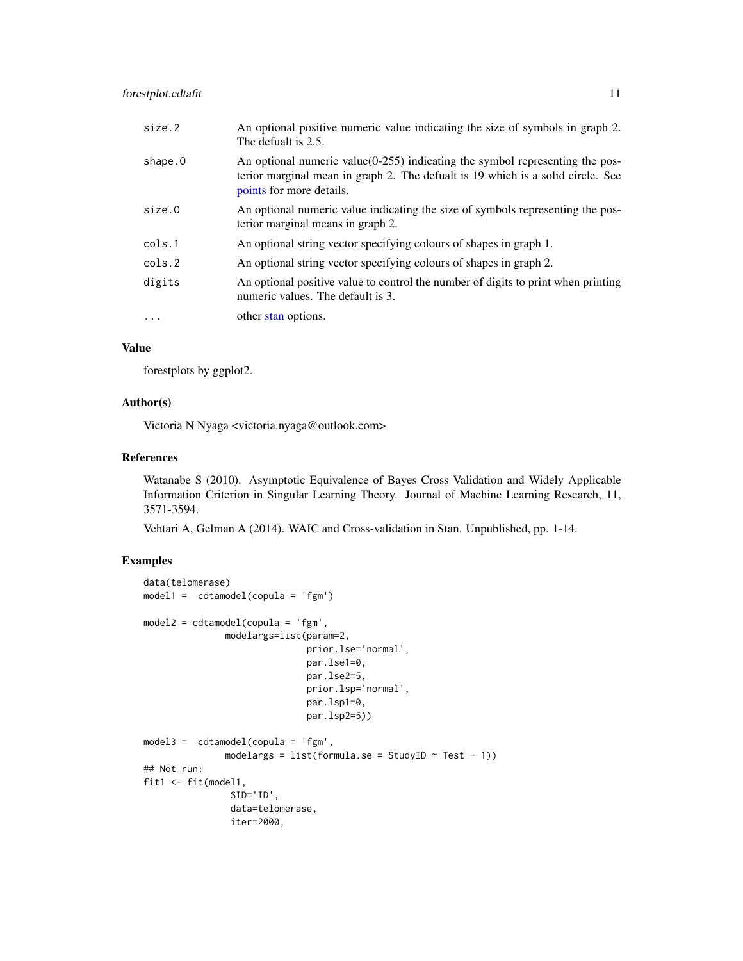<span id="page-10-0"></span>

| size.2    | An optional positive numeric value indicating the size of symbols in graph 2.<br>The defualt is 2.5.                                                                                           |
|-----------|------------------------------------------------------------------------------------------------------------------------------------------------------------------------------------------------|
| shape.0   | An optional numeric value $(0-255)$ indicating the symbol representing the pos-<br>terior marginal mean in graph 2. The defualt is 19 which is a solid circle. See<br>points for more details. |
| size.0    | An optional numeric value indicating the size of symbols representing the pos-<br>terior marginal means in graph 2.                                                                            |
| cols.1    | An optional string vector specifying colours of shapes in graph 1.                                                                                                                             |
| cols.2    | An optional string vector specifying colours of shapes in graph 2.                                                                                                                             |
| digits    | An optional positive value to control the number of digits to print when printing<br>numeric values. The default is 3.                                                                         |
| $\ddotsc$ | other stan options.                                                                                                                                                                            |

# Value

forestplots by ggplot2.

#### Author(s)

Victoria N Nyaga <victoria.nyaga@outlook.com>

#### References

Watanabe S (2010). Asymptotic Equivalence of Bayes Cross Validation and Widely Applicable Information Criterion in Singular Learning Theory. Journal of Machine Learning Research, 11, 3571-3594.

Vehtari A, Gelman A (2014). WAIC and Cross-validation in Stan. Unpublished, pp. 1-14.

# Examples

```
data(telomerase)
model1 = cdtamed[copula = 'fgm')model2 = cdtamodel(copula = 'fgm',
               modelargs=list(param=2,
                              prior.lse='normal',
                              par.lse1=0,
                              par.lse2=5,
                              prior.lsp='normal',
                              par.lsp1=0,
                              par.lsp2=5))
model3 = cdtamodel(copula = 'fgm',
               modelargs = list(formula.se = StudyID \sim Test - 1))
## Not run:
fit1 <- fit(model1,
                SID='ID',
                data=telomerase,
                iter=2000,
```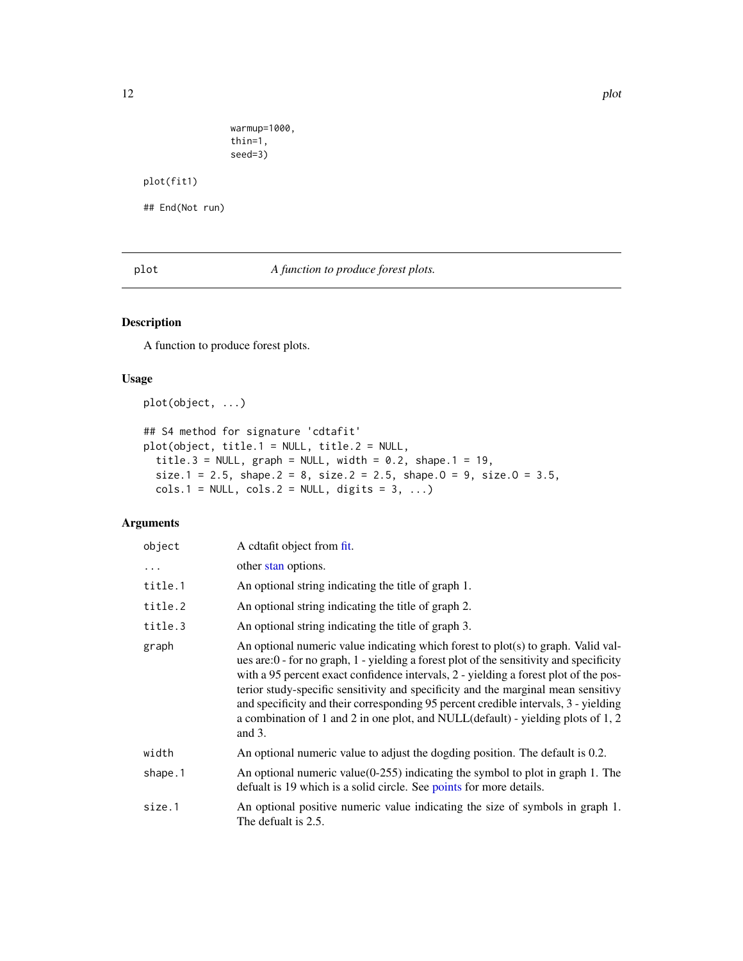```
warmup=1000,
thin=1,
seed=3)
```
<span id="page-11-0"></span>plot(fit1)

## End(Not run)

plot *A function to produce forest plots.*

# Description

A function to produce forest plots.

# Usage

plot(object, ...)

## S4 method for signature 'cdtafit' plot(object, title.1 = NULL, title.2 = NULL, title.3 = NULL,  $graph = NULL$ , width = 0.2, shape.1 = 19, size.1 = 2.5, shape.2 = 8, size.2 = 2.5, shape.0 = 9, size.0 = 3.5,  $cols.1 = NULL, cols.2 = NULL, digits = 3, ...)$ 

| object   | A cdtafit object from fit.                                                                                                                                                                                                                                                                                                                                                                                                                                                                                                                          |
|----------|-----------------------------------------------------------------------------------------------------------------------------------------------------------------------------------------------------------------------------------------------------------------------------------------------------------------------------------------------------------------------------------------------------------------------------------------------------------------------------------------------------------------------------------------------------|
| $\ddots$ | other stan options.                                                                                                                                                                                                                                                                                                                                                                                                                                                                                                                                 |
| title.1  | An optional string indicating the title of graph 1.                                                                                                                                                                                                                                                                                                                                                                                                                                                                                                 |
| title.2  | An optional string indicating the title of graph 2.                                                                                                                                                                                                                                                                                                                                                                                                                                                                                                 |
| title.3  | An optional string indicating the title of graph 3.                                                                                                                                                                                                                                                                                                                                                                                                                                                                                                 |
| graph    | An optional numeric value indicating which forest to $plot(s)$ to graph. Valid val-<br>ues are:0 - for no graph, 1 - yielding a forest plot of the sensitivity and specificity<br>with a 95 percent exact confidence intervals, 2 - yielding a forest plot of the pos-<br>terior study-specific sensitivity and specificity and the marginal mean sensitivy<br>and specificity and their corresponding 95 percent credible intervals, 3 - yielding<br>a combination of 1 and 2 in one plot, and NULL(default) - yielding plots of 1, 2<br>and $3$ . |
| width    | An optional numeric value to adjust the dogding position. The default is 0.2.                                                                                                                                                                                                                                                                                                                                                                                                                                                                       |
| shape.1  | An optional numeric value $(0-255)$ indicating the symbol to plot in graph 1. The<br>defualt is 19 which is a solid circle. See points for more details.                                                                                                                                                                                                                                                                                                                                                                                            |
| size.1   | An optional positive numeric value indicating the size of symbols in graph 1.<br>The defualt is 2.5.                                                                                                                                                                                                                                                                                                                                                                                                                                                |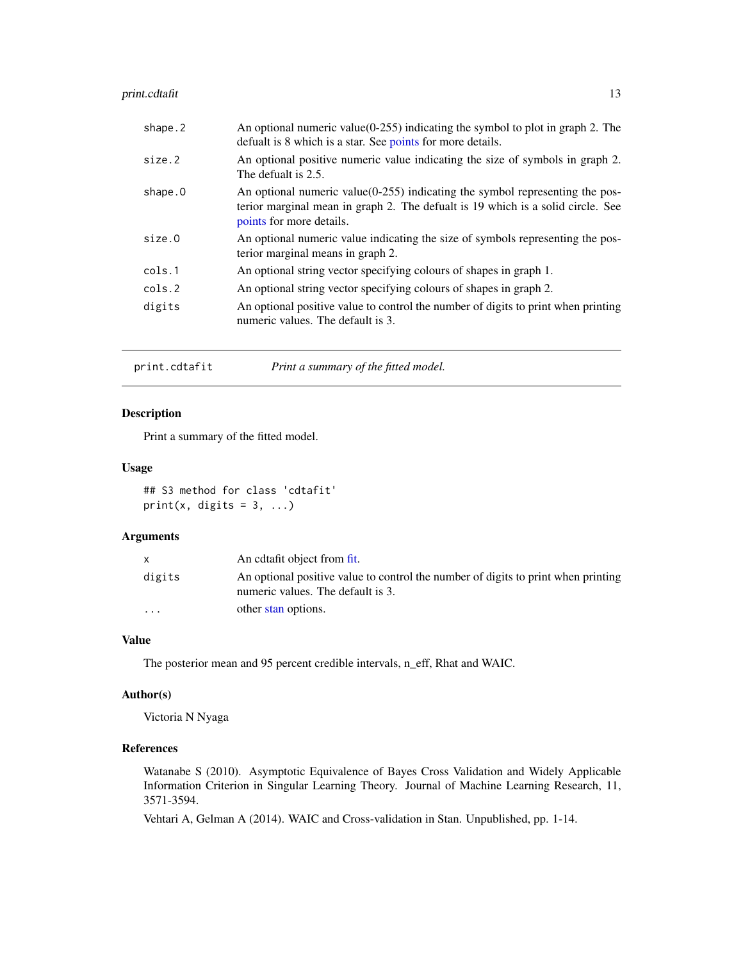# <span id="page-12-0"></span>print.cdtafit 13

| size.2<br>The defualt is 2.5.<br>shape.0<br>points for more details.<br>size.0<br>terior marginal means in graph 2.<br>An optional string vector specifying colours of shapes in graph 1.<br>cols.1<br>An optional string vector specifying colours of shapes in graph 2.<br>cols.2<br>digits<br>numeric values. The default is 3. | shape.2 | An optional numeric value( $0-255$ ) indicating the symbol to plot in graph 2. The<br>defualt is 8 which is a star. See points for more details.                   |
|------------------------------------------------------------------------------------------------------------------------------------------------------------------------------------------------------------------------------------------------------------------------------------------------------------------------------------|---------|--------------------------------------------------------------------------------------------------------------------------------------------------------------------|
|                                                                                                                                                                                                                                                                                                                                    |         | An optional positive numeric value indicating the size of symbols in graph 2.                                                                                      |
|                                                                                                                                                                                                                                                                                                                                    |         | An optional numeric value $(0-255)$ indicating the symbol representing the pos-<br>terior marginal mean in graph 2. The defualt is 19 which is a solid circle. See |
|                                                                                                                                                                                                                                                                                                                                    |         | An optional numeric value indicating the size of symbols representing the pos-                                                                                     |
|                                                                                                                                                                                                                                                                                                                                    |         |                                                                                                                                                                    |
|                                                                                                                                                                                                                                                                                                                                    |         |                                                                                                                                                                    |
|                                                                                                                                                                                                                                                                                                                                    |         | An optional positive value to control the number of digits to print when printing                                                                                  |

print.cdtafit *Print a summary of the fitted model.*

# Description

Print a summary of the fitted model.

# Usage

## S3 method for class 'cdtafit' print(x, digits =  $3, ...$ )

# Arguments

|                         | An edtafit object from fit.                                                                                            |
|-------------------------|------------------------------------------------------------------------------------------------------------------------|
| digits                  | An optional positive value to control the number of digits to print when printing<br>numeric values. The default is 3. |
| $\cdot$ $\cdot$ $\cdot$ | other stan options.                                                                                                    |

# Value

The posterior mean and 95 percent credible intervals, n\_eff, Rhat and WAIC.

# Author(s)

Victoria N Nyaga

# References

Watanabe S (2010). Asymptotic Equivalence of Bayes Cross Validation and Widely Applicable Information Criterion in Singular Learning Theory. Journal of Machine Learning Research, 11, 3571-3594.

Vehtari A, Gelman A (2014). WAIC and Cross-validation in Stan. Unpublished, pp. 1-14.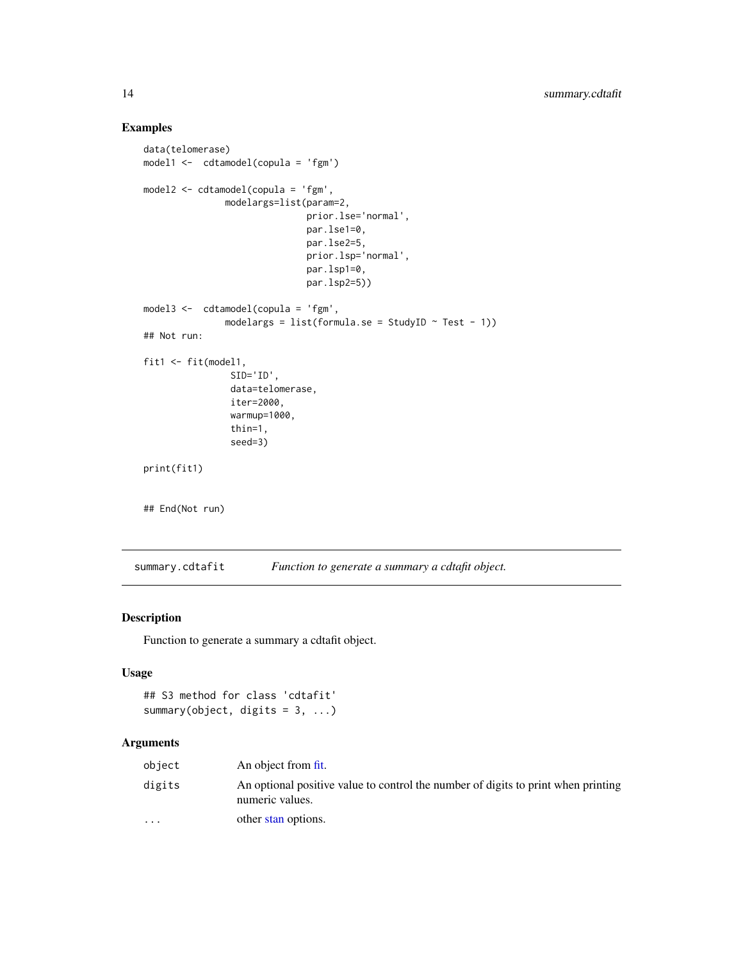# Examples

```
data(telomerase)
model1 <- cdtamodel(copula = 'fgm')
model2 <- cdtamodel(copula = 'fgm',
               modelargs=list(param=2,
                              prior.lse='normal',
                              par.lse1=0,
                              par.lse2=5,
                              prior.lsp='normal',
                              par.lsp1=0,
                              par.lsp2=5))
model3 <- cdtamodel(copula = 'fgm',
               modelargs = list(formula.se = StudyID \sim Test - 1))
## Not run:
fit1 <- fit(model1,
                SID='ID',
                data=telomerase,
                iter=2000,
                warmup=1000,
                thin=1,
                seed=3)
print(fit1)
## End(Not run)
```
summary.cdtafit *Function to generate a summary a cdtafit object.*

## Description

Function to generate a summary a cdtafit object.

# Usage

```
## S3 method for class 'cdtafit'
summary(object, digits = 3, ...)
```

| object                  | An object from fit.                                                                                  |
|-------------------------|------------------------------------------------------------------------------------------------------|
| digits                  | An optional positive value to control the number of digits to print when printing<br>numeric values. |
| $\cdot$ $\cdot$ $\cdot$ | other stan options.                                                                                  |

<span id="page-13-0"></span>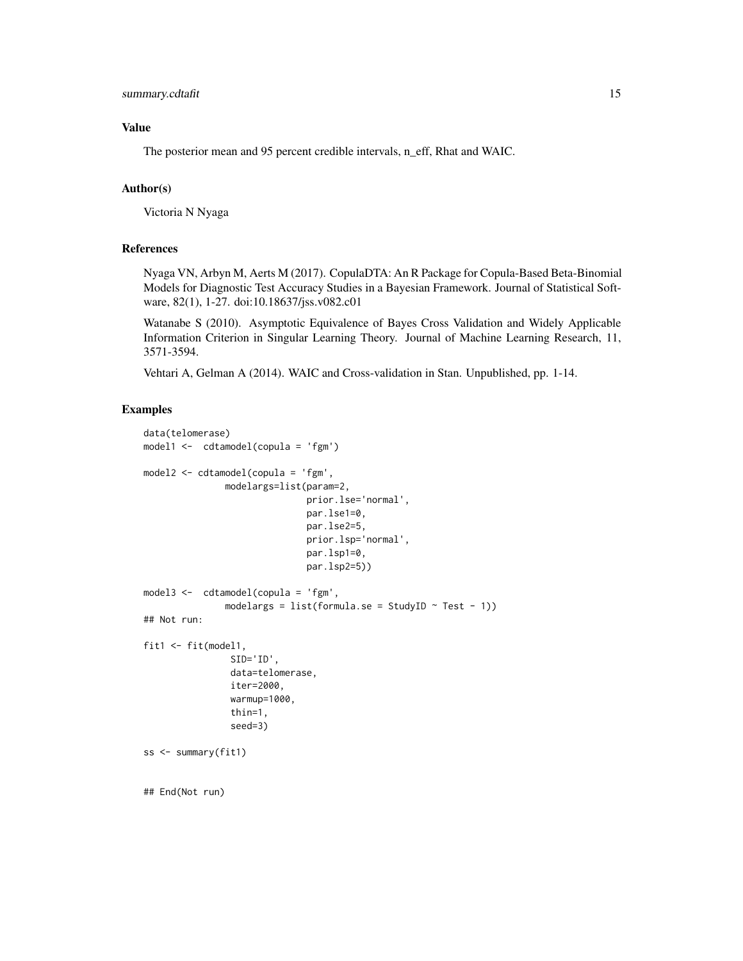## Value

The posterior mean and 95 percent credible intervals, n\_eff, Rhat and WAIC.

#### Author(s)

Victoria N Nyaga

#### References

Nyaga VN, Arbyn M, Aerts M (2017). CopulaDTA: An R Package for Copula-Based Beta-Binomial Models for Diagnostic Test Accuracy Studies in a Bayesian Framework. Journal of Statistical Software, 82(1), 1-27. doi:10.18637/jss.v082.c01

Watanabe S (2010). Asymptotic Equivalence of Bayes Cross Validation and Widely Applicable Information Criterion in Singular Learning Theory. Journal of Machine Learning Research, 11, 3571-3594.

Vehtari A, Gelman A (2014). WAIC and Cross-validation in Stan. Unpublished, pp. 1-14.

#### Examples

```
data(telomerase)
model1 <- cdtamodel(copula = 'fgm')
model2 <- cdtamodel(copula = 'fgm',
               modelargs=list(param=2,
                              prior.lse='normal',
                              par.lse1=0,
                              par.lse2=5,
                              prior.lsp='normal',
                              par.lsp1=0,
                              par.lsp2=5))
model3 <- cdtamodel(copula = 'fgm',
               modelargs = list(formula.se = StudyID \sim Test - 1))
## Not run:
fit1 <- fit(model1,
                SID='ID',
                data=telomerase,
                iter=2000,
                warmup=1000,
                thin=1,
                seed=3)
ss <- summary(fit1)
## End(Not run)
```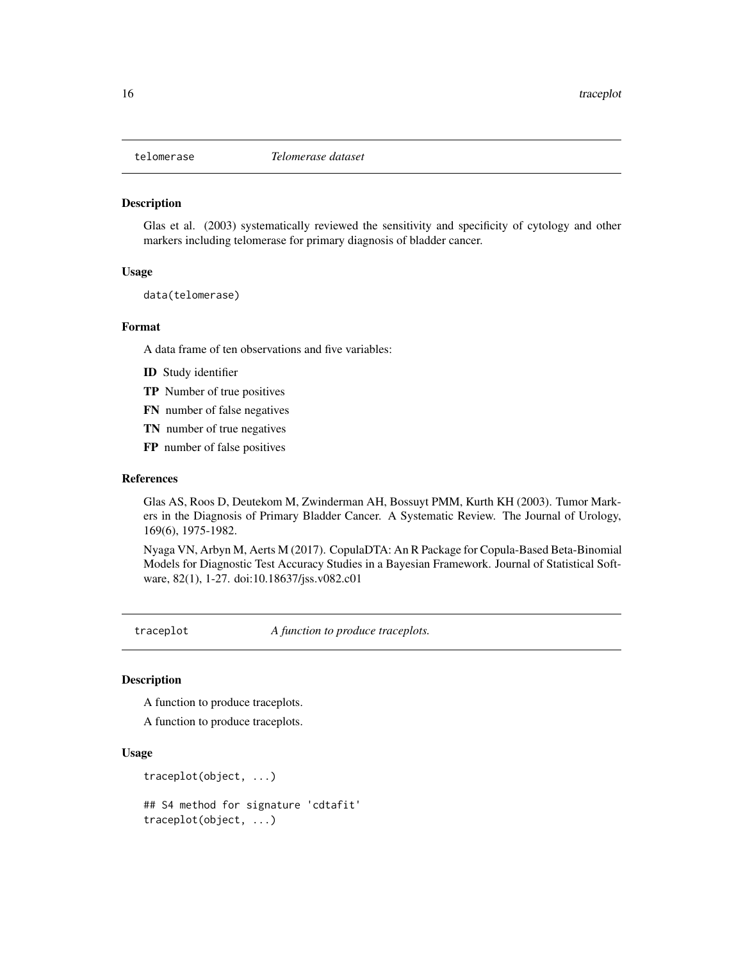<span id="page-15-0"></span>

#### Description

Glas et al. (2003) systematically reviewed the sensitivity and specificity of cytology and other markers including telomerase for primary diagnosis of bladder cancer.

#### Usage

data(telomerase)

#### Format

A data frame of ten observations and five variables:

- ID Study identifier
- TP Number of true positives
- FN number of false negatives
- TN number of true negatives
- FP number of false positives

#### References

Glas AS, Roos D, Deutekom M, Zwinderman AH, Bossuyt PMM, Kurth KH (2003). Tumor Markers in the Diagnosis of Primary Bladder Cancer. A Systematic Review. The Journal of Urology, 169(6), 1975-1982.

Nyaga VN, Arbyn M, Aerts M (2017). CopulaDTA: An R Package for Copula-Based Beta-Binomial Models for Diagnostic Test Accuracy Studies in a Bayesian Framework. Journal of Statistical Software, 82(1), 1-27. doi:10.18637/jss.v082.c01

traceplot *A function to produce traceplots.*

# Description

A function to produce traceplots.

A function to produce traceplots.

## Usage

```
traceplot(object, ...)
```
## S4 method for signature 'cdtafit' traceplot(object, ...)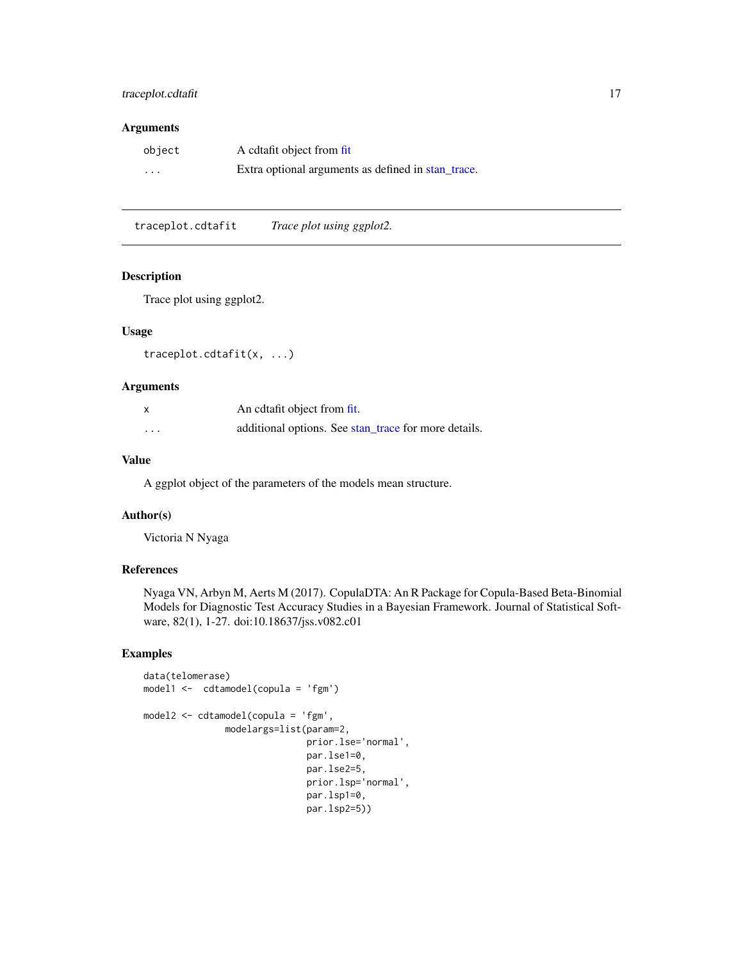# <span id="page-16-0"></span>traceplot.cdtafit 17

### Arguments

| object   | A cdtafit object from fit                          |
|----------|----------------------------------------------------|
| $\cdots$ | Extra optional arguments as defined in stan trace. |

traceplot.cdtafit *Trace plot using ggplot2.*

#### Description

Trace plot using ggplot2.

#### Usage

```
traceplot.cdtafit(x, ...)
```
# Arguments

| x        | An edtafit object from fit.                          |
|----------|------------------------------------------------------|
| $\cdots$ | additional options. See stan_trace for more details. |

# Value

A ggplot object of the parameters of the models mean structure.

# Author(s)

Victoria N Nyaga

# References

Nyaga VN, Arbyn M, Aerts M (2017). CopulaDTA: An R Package for Copula-Based Beta-Binomial Models for Diagnostic Test Accuracy Studies in a Bayesian Framework. Journal of Statistical Software, 82(1), 1-27. doi:10.18637/jss.v082.c01

# Examples

```
data(telomerase)
model1 <- cdtamodel(copula = 'fgm')
model2 <- cdtamodel(copula = 'fgm',
               modelargs=list(param=2,
                              prior.lse='normal',
                              par.lse1=0,
                              par.lse2=5,
                              prior.lsp='normal',
                              par.lsp1=0,
                              par.lsp2=5))
```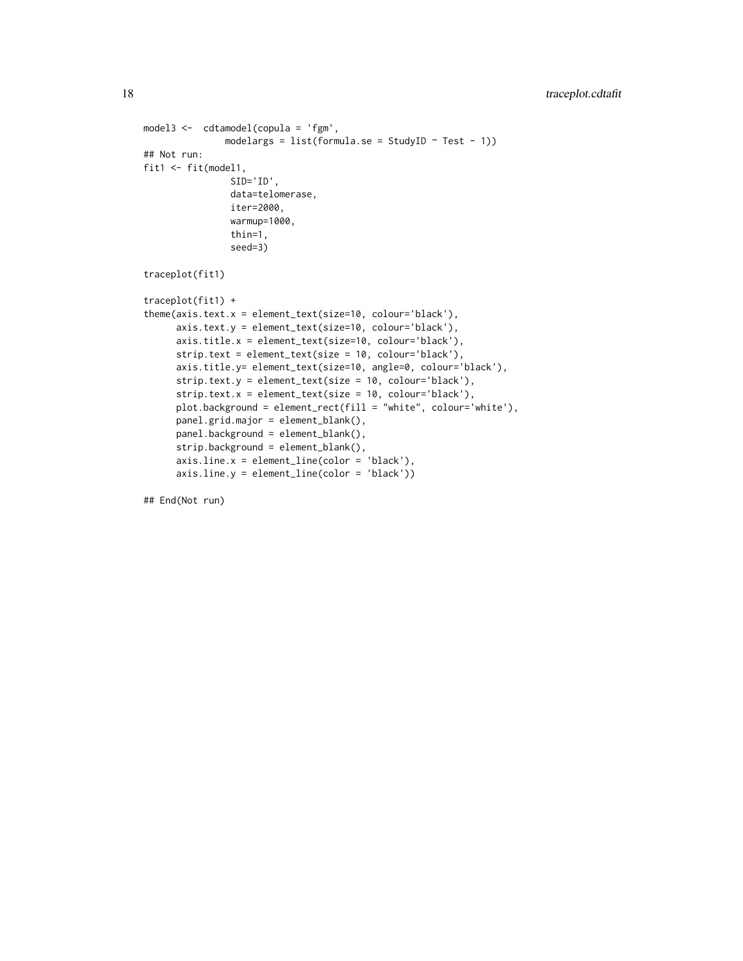```
model3 <- cdtamodel(copula = 'fgm',
               modelargs = list(formula.se = StudyID \sim Test - 1))
## Not run:
fit1 <- fit(model1,
                SID='ID',
                data=telomerase,
                iter=2000,
                warmup=1000,
                thin=1,
                seed=3)
traceplot(fit1)
traceplot(fit1) +
theme(axis.text.x = element_text(size=10, colour='black'),
      axis.text.y = element_text(size=10, colour='black'),
      axis.title.x = element_text(size=10, colour='black'),
      strip.text = element_text(size = 10, colour='black'),
      axis.title.y= element_text(size=10, angle=0, colour='black'),
      strip.text.y = element_text(size = 10, colour='black'),
      strip.text.x = element_text(size = 10, colour='black'),
      plot.background = element_rect(fill = "white", colour='white'),
      panel.grid.major = element_blank(),
      panel.background = element_blank(),
      strip.background = element_blank(),
      axis.line.x = element_line(color = 'black'),
      axis.line.y = element_line(color = 'black'))
```
## End(Not run)